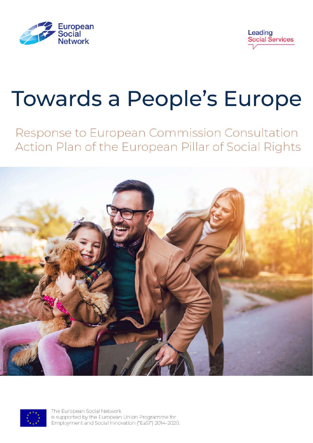



# **Towards a People's Europe**

Response to European Commission Consultation Action Plan of the European Pillar of Social Rights





The European Social Network is supported by the European Union Programme for Employment and Social Innovation ("EaSI") 2014-2020.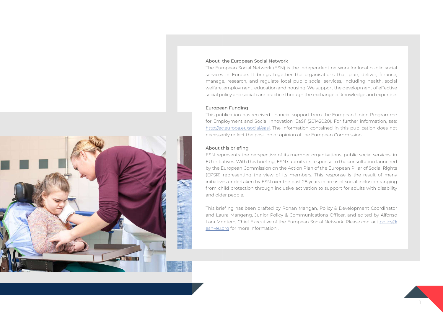

### About the European Social Network

The European Social Network (ESN) is the independent network for local public social services in Europe. It brings together the organisations that plan, deliver, finance, manage, research, and regulate local public social services, including health, social welfare, employment, education and housing. We support the development of effective social policy and social care practice through the exchange of knowledge and expertise.

### European Funding

This publication has received financial support from the European Union Programme for Employment and Social Innovation 'EaSI' (20142020). For further information, see: <http://ec.europa.eu/social/easi>. The information contained in this publication does not necessarily reflect the position or opinion of the European Commission.

### About this briefing

ESN represents the perspective of its member organisations, public social services, in EU initiatives. With this briefing, ESN submits its response to the consultation launched by the European Commission on the Action Plan of the European Pillar of Social Rights (EPSR) representing the view of its members. This response is the result of many initiatives undertaken by ESN over the past 28 years in areas of social inclusion ranging from child protection through inclusive activation to support for adults with disability and older people.

This briefing has been drafted by Ronan Mangan, Policy & Development Coordinator and Laura Mangeng, Junior Policy & Communications Officer, and edited by Alfonso Lara Montero, Chief Executive of the European Social Network. Please contact [policy@](mailto:policy%40esn-eu.org?subject=) [esn-eu.org](mailto:policy%40esn-eu.org?subject=) for more information .

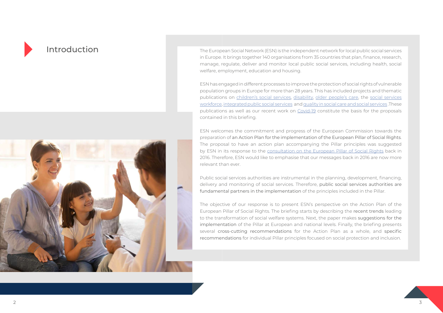



Introduction The European Social Network (ESN) is the independent network for local public social services in Europe. It brings together 140 organisations from 35 countries that plan, finance, research, manage, regulate, deliver and monitor local public social services, including health, social welfare, employment, education and housing.

> ESN has engaged in different processes to improve the protection of social rights of vulnerable population groups in Europe for more than 28 years. This has included projects and thematic publications on [children's social services,](http://www.esn-eu.org/sites/default/files/publications/FINAL_Children%27s_publication_launch_report.pdf) [disability,](https://www.esn-eu.org/sites/default/files/publications/2003_Managing_Diversity_in_Public_Health_and_Social_Care_in_the_Interest_of_all_Citizens_-_Report_on_Disablility_EN.pdf) [older people's care,](https://www.esn-eu.org/sites/default/files/publications/Ageing_and_CareToolkit_final_WEB.pdf) the [social services](https://www.esn-eu.org/sites/default/files/publications/Investing_in_the_social_service_workforce_WEB.pdf) [workforce,](https://www.esn-eu.org/sites/default/files/publications/Investing_in_the_social_service_workforce_WEB.pdf) [integrated public social services](http://www.esn-eu.org/sites/default/files/publications/IntegratedServicesReport_FINAL.pdf) and [quality in social care and social services](https://www.esn-eu.org/sites/default/files/publications/ESN_Quality_report_light_web.pdf) .These publications as well as our recent work on [Covid-19](http://www.esn-eu.org/e-library/covid19) constitute the basis for the proposals contained in this briefing.

> ESN welcomes the commitment and progress of the European Commission towards the preparation of an Action Plan for the implementation of the European Pillar of Social Rights. The proposal to have an action plan accompanying the Pillar principles was suggested by ESN in its response to the [consultation on the European Pillar of Social Rights](http://www.esn-eu.org/sites/default/files/publications/ESN_Position_Paper_on_the_EC_Pillar_of_Social_Rights.pdf) back in 2016. Therefore, ESN would like to emphasise that our messages back in 2016 are now more relevant than ever.

> Public social services authorities are instrumental in the planning, development, financing, delivery and monitoring of social services. Therefore, public social services authorities are fundamental partners in the implementation of the principles included in the Pillar.

> The objective of our response is to present ESN's perspective on the Action Plan of the European Pillar of Social Rights. The briefing starts by describing the recent trends leading to the transformation of social welfare systems. Next, the paper makes suggestions for the implementation of the Pillar at European and national levels. Finally, the briefing presents several cross-cutting recommendations for the Action Plan as a whole, and specific recommendations for individual Pillar principles focused on social protection and inclusion.

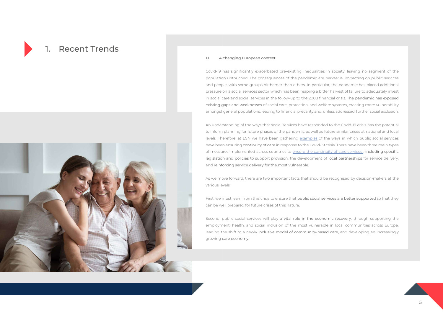## **Recent Trends**



### 1.1 A changing European context

Covid-19 has significantly exacerbated pre-existing inequalities in society, leaving no segment of the population untouched. The consequences of the pandemic are pervasive, impacting on public services and people, with some groups hit harder than others. In particular, the pandemic has placed additional pressure on a social services sector which has been reaping a bitter harvest of failure to adequately invest in social care and social services in the follow-up to the 2008 financial crisis. The pandemic has exposed existing gaps and weaknesses of social care, protection, and welfare systems, creating more vulnerability amongst general populations, leading to financial precarity and, unless addressed, further social exclusion.

An understanding of the ways that social services have responded to the Covid-19 crisis has the potential to inform planning for future phases of the pandemic as well as future similar crises at national and local levels. Therefore, at ESN we have been gathering [examples](http://www.esn-eu.org/e-library/covid19) of the ways in which public social services have been ensuring continuity of care in response to the Covid-19 crisis. There have been three main types of measures implemented across countries to ensure the continuity of care services, including specific legislation and policies to support provision, the development of local partnerships for service delivery, and reinforcing service delivery for the most vulnerable.

As we move forward, there are two important facts that should be recognised by decision-makers at the various levels:

First, we must learn from this crisis to ensure that public social services are better supported so that they can be well prepared for future crises of this nature.

Second, public social services will play a vital role in the economic recovery, through supporting the employment, health, and social inclusion of the most vulnerable in local communities across Europe, leading the shift to a newly inclusive model of community-based care, and developing an increasingly growing care economy.

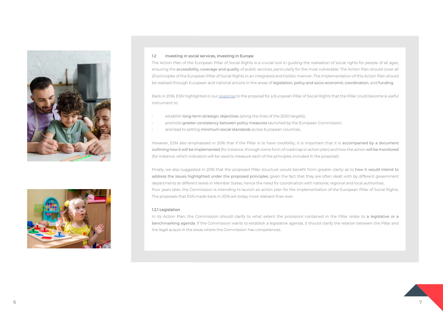



### 1.2 Investing in social services, Investing in Europe

The Action Plan of the European Pillar of Social Rights is a crucial tool in guiding the realisation of social rights for people of all ages, ensuring the accessibility, coverage and quality of public services, particularly for the most vulnerable. The Action Plan should cover all 20 principles of the European Pillar of Social Rights in an integrated and holistic manner. The implementation of this Action Plan should be realised through European and national actions in the areas of legislation, policy and socio-economic coordination, and funding.

Back in 2016, ESN highlighted in our [response](http://www.esn-eu.org/sites/default/files/publications/ESN_Position_Paper_on_the_EC_Pillar_of_Social_Rights.pdf) to the proposal for a European Pillar of Social Rights that the Pillar could become a useful instrument to:

- establish long-term strategic objectives (along the lines of the 2020 targets);
- promote greater consistency between policy measures launched by the European Commission;
- and lead to setting minimum social standards across European countries.

In its Action Plan, the Commission should clarify to what extent the provisions contained in the Pillar relate to a legislative or a benchmarking agenda. If the Commission wants to establish a legislative agenda, it should clarify the relation between the Pillar and the legal acquis in the areas where the Commission has competences.

However, ESN also emphasised in 2016 that if the Pillar is to have credibility, it is important that it is accompanied by a document outlining how it will be implemented (for instance, through some form of roadmap or action plan) and how the action will be monitored (for instance, which indicators will be used to measure each of the principles included in the proposal).

Finally, we also suggested in 2016 that the proposed Pillar structure would benefit from greater clarity as to how it would intend to address the issues highlighted under the proposed principles, given the fact that they are often dealt with by different government departments at different levels in Member States, hence the need for coordination with national, regional and local authorities. Four years later, the Commission is intending to launch an action plan for the implementation of the European Pillar of Social Rights. The proposals that ESN made back in 2016 are today more relevant than ever.

### 1.2.1 Legislation

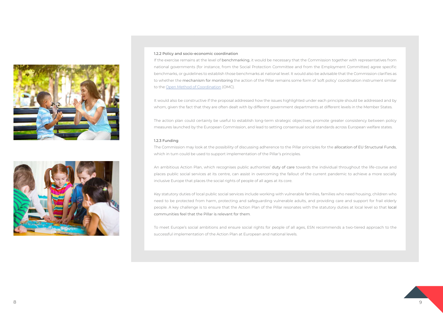



### 1.2.2 Policy and socio-economic coordination

If the exercise remains at the level of benchmarking, it would be necessary that the Commission together with representatives from national governments (for instance, from the Social Protection Committee and from the Employment Committee) agree specific benchmarks, or guidelines to establish those benchmarks at national level. It would also be advisable that the Commission clarifies as to whether the mechanism for monitoring the action of the Pillar remains some form of 'soft policy' coordination instrument similar to the [Open Method of Coordination](http://www.europarl.europa.eu/EPRS/EPRS-AaG-542142-Open-Method-of-Coordination-FINAL.pdf) (OMC).

It would also be constructive if the proposal addressed how the issues highlighted under each principle should be addressed and by whom, given the fact that they are often dealt with by different government departments at different levels in the Member States.

The action plan could certainly be useful to establish long-term strategic objectives, promote greater consistency between policy measures launched by the European Commission, and lead to setting consensual social standards across European welfare states.

### 1.2.3 Funding

The Commission may look at the possibility of discussing adherence to the Pillar principles for the allocation of EU Structural Funds, which in turn could be used to support implementation of the Pillar's principles.

An ambitious Action Plan, which recognises public authorities' duty of care towards the individual throughout the life-course and places public social services at its centre, can assist in overcoming the fallout of the current pandemic to achieve a more socially inclusive Europe that places the social rights of people of all ages at its core.

Key statutory duties of local public social services include working with vulnerable families, families who need housing, children who need to be protected from harm, protecting and safeguarding vulnerable adults, and providing care and support for frail elderly people. A key challenge is to ensure that the Action Plan of the Pillar resonates with the statutory duties at local level so that local communities feel that the Pillar is relevant for them.

To meet Europe's social ambitions and ensure social rights for people of all ages, ESN recommends a two-tiered approach to the successful implementation of the Action Plan at European and national levels.

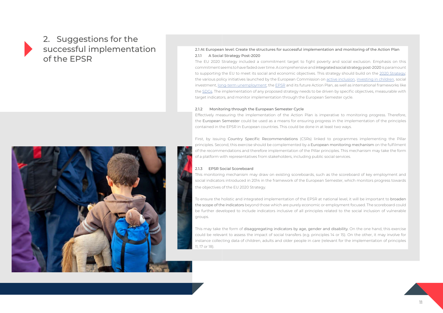## 2. Suggestions for the successful implementation of the EPSR



### 2.1 At European level: Create the structures for successful implementation and monitoring of the Action Plan 2.1.1 A Social Strategy Post-2020

The EU 2020 Strategy included a commitment target to fight poverty and social exclusion. Emphasis on this commitment seems to have faded over time. A comprehensive and integrated social strategy post-2020 is paramount to supporting the EU to meet its social and economic objectives. This strategy should build on the [2020 Strategy](https://eur-lex.europa.eu/legal-content/EN/TXT/PDF/?uri=CELEX:52010DC2020&from=EN); the various policy initiatives launched by the European Commission on [active inclusion,](https://eur-lex.europa.eu/legal-content/EN/TXT/PDF/?uri=CELEX:32008H0867&from=EN) [investing in children](https://eur-lex.europa.eu/legal-content/EN/TXT/PDF/?uri=CELEX:32013H0112&from=EN), social investment, [long-term unemployment](https://eur-lex.europa.eu/legal-content/EN/TXT/PDF/?uri=CELEX:32016H0220(01)&from=EN); the [EPSR](https://eur-lex.europa.eu/legal-content/EN/TXT/PDF/?uri=CELEX:32017C1213(01)&from=EN) and its future Action Plan, as well as international frameworks like the [SDGs.](https://eur-lex.europa.eu/legal-content/EN/TXT/?uri=CELEX:52016DC0739) The implementation of any proposed strategy needs to be driven by specific objectives, measurable with target indicators, and monitor implementation through the European Semester cycle.

### 2.1.2 Monitoring through the European Semester Cycle

Effectively measuring the implementation of the Action Plan is imperative to monitoring progress. Therefore, the European Semester could be used as a means for ensuring progress in the implementation of the principles contained in the EPSR in European countries. This could be done in at least two ways.

First, by issuing Country Specific Recommendations (CSRs) linked to programmes implementing the Pillar principles. Second, this exercise should be complemented by a European monitoring mechanism on the fulfilment of the recommendations and therefore implementation of the Pillar principles. This mechanism may take the form of a platform with representatives from stakeholders, including public social services.

### 2.1.3 EPSR Social Scoreboard

This monitoring mechanism may draw on existing scoreboards, such as the scoreboard of key employment and social indicators introduced in 2014 in the framework of the European Semester, which monitors progress towards the objectives of the EU 2020 Strategy.

To ensure the holistic and integrated implementation of the EPSR at national level, it will be important to broaden the scope of the indicators beyond those which are purely economic or employment focused. The scoreboard could be further developed to include indicators inclusive of all principles related to the social inclusion of vulnerable groups.

This may take the form of disaggregating indicators by age, gender and disability. On the one hand, this exercise could be relevant to assess the impact of social transfers (e.g. principles 14 or 15). On the other, it may involve for instance collecting data of children, adults and older people in care (relevant for the implementation of principles 11, 17 or 18).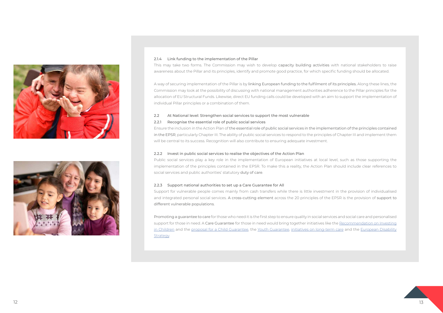



### 2.1.4 Link funding to the implementation of the Pillar

This may take two forms. The Commission may wish to develop capacity building activities with national stakeholders to raise awareness about the Pillar and its principles, identify and promote good practice, for which specific funding should be allocated.

A way of securing implementation of the Pillar is by linking European funding to the fulfilment of its principles. Along these lines, the Commission may look at the possibility of discussing with national management authorities adherence to the Pillar principles for the allocation of EU Structural Funds. Likewise, direct EU funding calls could be developed with an aim to support the implementation of individual Pillar principles or a combination of them.

### 2.2 At National level: Strengthen social services to support the most vulnerable

### 2.2.1 Recognise the essential role of public social services

Promoting a guarantee to care for those who need it is the first step to ensure quality in social services and social care and personalised support for those in need. A Care Guarantee for those in need would bring together initiatives like the Recommendation on Investing [in Children](https://eur-lex.europa.eu/legal-content/EN/TXT/PDF/?uri=CELEX:32013H0112&from=EN) and the [proposal for a Child Guarantee](https://ec.europa.eu/social/main.jsp?catId=1428&langId=en), the [Youth Guarantee](https://eur-lex.europa.eu/legal-content/EN/TXT/PDF/?uri=CELEX:32013H0426(01)&from=EN), [initiatives on long-term care](https://ec.europa.eu/social/main.jsp?catId=792&langId=en) and the European Disability [Strategy](https://eur-lex.europa.eu/legal-content/EN/TXT/PDF/?uri=CELEX:52010DC0636&from=EN).

Ensure the inclusion in the Action Plan of the essential role of public social services in the implementation of the principles contained in the EPSR, particularly Chapter III. The ability of public social services to respond to the principles of Chapter III and implement them will be central to its success. Recognition will also contribute to ensuring adequate investment.

### 2.2.2 Invest in public social services to realise the objectives of the Action Plan

Public social services play a key role in the implementation of European initiatives at local level, such as those supporting the implementation of the principles contained in the EPSR. To make this a reality, the Action Plan should include clear references to social services and public authorities' statutory duty of care.

### 2.2.3 Support national authorities to set up a Care Guarantee for All

Support for vulnerable people comes mainly from cash transfers while there is little investment in the provision of individualised and integrated personal social services. A cross-cutting element across the 20 principles of the EPSR is the provision of support to different vulnerable populations.

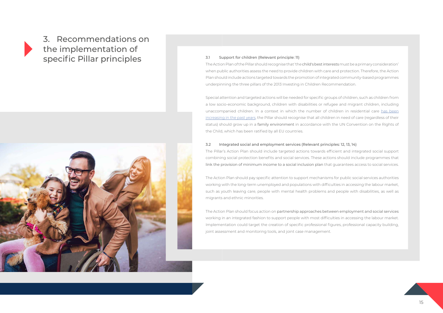## 3. Recommendations on the implementation of specific Pillar principles 3.1 Support for children (Relevant principle: 11)



The Action Plan of the Pillar should recognise that 'the child's best interests must be a primary consideration' when public authorities assess the need to provide children with care and protection. Therefore, the Action Plan should include actions targeted towards the promotion of integrated community-based programmes underpinning the three pillars of the 2013 Investing in Children Recommendation.

Special attention and targeted actions will be needed for specific groups of children, such as children from a low socio-economic background, children with disabilities or refugee and migrant children, including unaccompanied children. In a context in which the number of children in residential care has been [increasing in the past years,](https://www.esn-eu.org/sites/default/files/2020-11/ESN_European%20Semester%202021_Interactive_spread_compressed.pdf) the Pillar should recognise that all children in need of care (regardless of their status) should grow up in a family environment in accordance with the UN Convention on the Rights of the Child, which has been ratified by all EU countries.

3.2 Integrated social and employment services (Relevant principles: 12, 13, 14) The Pillar's Action Plan should include targeted actions towards efficient and integrated social support combining social protection benefits and social services. These actions should include programmes that link the provision of minimum income to a social inclusion plan that guarantees access to social services.

The Action Plan should pay specific attention to support mechanisms for public social services authorities working with the long-term unemployed and populations with difficulties in accessing the labour market, such as youth leaving care, people with mental health problems and people with disabilities, as well as migrants and ethnic minorities.

The Action Plan should focus action on partnership approaches between employment and social services working in an integrated fashion to support people with most difficulties in accessing the labour market. Implementation could target the creation of specific professional figures, professional capacity building, joint assessment and monitoring tools, and joint case management.

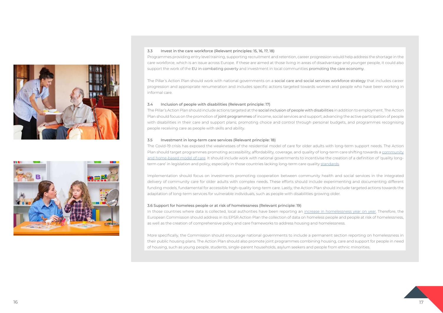



### 3.3 Invest in the care workforce (Relevant principles: 15, 16, 17, 18)

Programmes providing entry level training, supporting recruitment and retention, career progression would help address the shortage in the care workforce, which is an issue across Europe. If these are aimed at those living in areas of disadvantage and younger people, it could also support the work of the EU in combating poverty and investment in local communities promoting the care economy.

The Pillar's Action Plan should work with national governments on a social care and social services workforce strategy that includes career progression and appropriate renumeration and includes specific actions targeted towards women and people who have been working in informal care.

The Covid-19 crisis has exposed the weaknesses of the residential model of care for older adults with long-term support needs. The Action Plan should target programmes promoting accessibility, affordability, coverage, and quality of long-term care shifting towards a community [and home-based model of care](https://www.esn-eu.org/news/esn-seminar-promoting-high-quality-long-term-care). It should include work with national governments to incentivise the creation of a definition of 'quality longterm care' in legislation and policy, especially in those countries lacking long-term care quality [standards](https://www.esn-eu.org/sites/default/files/2020-11/ESN_European%20Semester%202021_Interactive_spread_compressed.pdf).

### 3.4 Inclusion of people with disabilities (Relevant principle: 17)

The Pillar's Action Plan should include actions targeted at the social inclusion of people with disabilities in addition to employment. The Action Plan should focus on the promotion of joint programmes of income, social services and support; advancing the active participation of people with disabilities in their care and support plans; promoting choice and control through personal budgets, and programmes recognising people receiving care as people with skills and ability.

### 3.5 Investment in long-term care services (Relevant principle: 18)

Implementation should focus on investments promoting cooperation between community health and social services in the integrated delivery of community care for older adults with complex needs. These efforts should include experimenting and documenting different funding models, fundamental for accessible high-quality long-term care. Lastly, the Action Plan should include targeted actions towards the adaptation of long-term services for vulnerable individuals, such as people with disabilities growing older.

### 3.6 Support for homeless people or at risk of homelessness (Relevant principle: 19)

In those countries where data is collected, local authorities have been reporting an [increase in homelessness year on year.](https://www.esn-eu.org/sites/default/files/2020-11/ESN_European%20Semester%202021_Interactive_spread_compressed.pdf) Therefore, the European Commission should address in its EPSR Action Plan the collection of data on homeless people and people at risk of homelessness, as well as the creation of comprehensive policy and care frameworks to address housing and homelessness.

More specifically, the Commission should encourage national governments to include a permanent section reporting on homelessness in their public housing plans. The Action Plan should also promote joint programmes combining housing, care and support for people in need of housing, such as young people, students, single-parent households, asylum seekers and people from ethnic minorities.

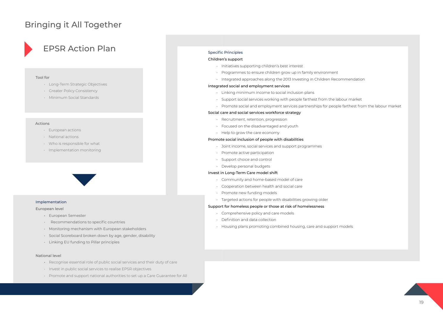## EPSR Action Plan

### Tool for

- Long-Term Strategic Objectives
- Greater Policy Consistency
- Minimum Social Standards



### Actions

- European actions
- National actions
- Who is responsible for what
- Implementation monitoring



### Implementation

### European level

- European Semester
- Recommendations to specific countries
- Monitoring mechanism with European stakeholders
- Social Scoreboard broken down by age, gender, disability
- Linking EU funding to Pillar principles

### National level

- Recognise essential role of public social services and their duty of care
- Invest in public social services to realise EPSR objectives
- Promote and support national authorities to set up a Care Guarantee for All

### Specific Principles

### Children's support

- Initiatives supporting children's best interest
- Programmes to ensure children grow up in family environment
- Integrated approaches along the 2013 Investing in Children Recommendation

### Integrated social and employment services

- Linking minimum income to social inclusion plans
- Support social services working with people farthest from the labour market
- Promote social and employment services partnerships for people farthest from the labour market

### Social care and social services workforce strategy

- Recruitment, retention, progression
- Focused on the disadvantaged and youth
- Help to grow the care economy

### Promote social inclusion of people with disabilities

- Joint income, social services and support programmes
- Promote active participation
- Support choice and control
- Develop personal budgets

### Invest in Long-Term Care model shift

- Community and home-based model of care
- Cooperation between health and social care
- Promote new funding models
- Targeted actions for people with disabilities growing older

### Support for homeless people or those at risk of homelessness

- Comprehensive policy and care models
- Definition and data collection
- Housing plans promoting combined housing, care and support models

## Bringing it All Together